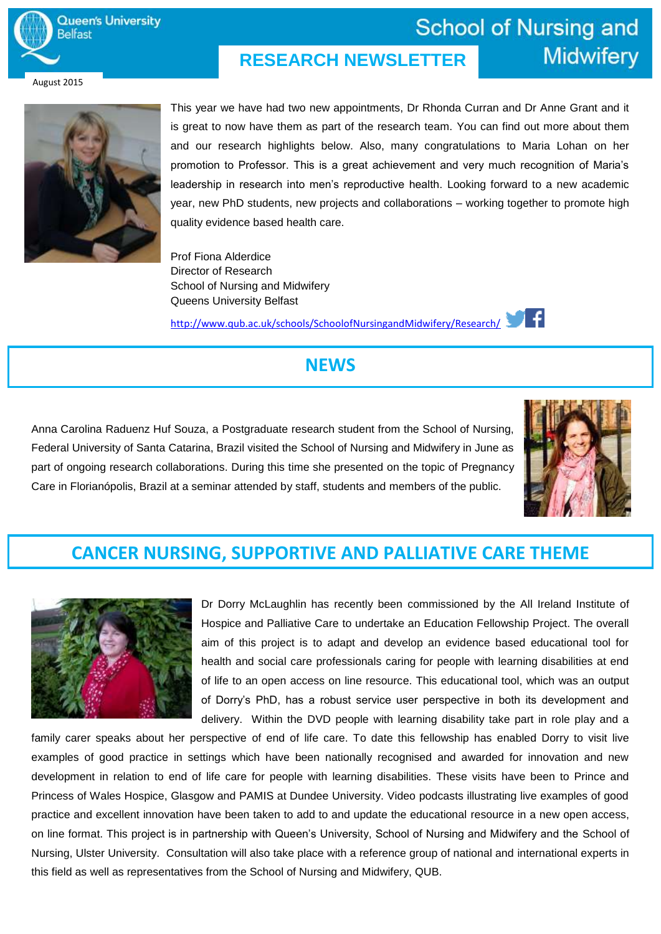

August 2015



This year we have had two new appointments, Dr Rhonda Curran and Dr Anne Grant and it is great to now have them as part of the research team. You can find out more about them and our research highlights below. Also, many congratulations to Maria Lohan on her promotion to Professor. This is a great achievement and very much recognition of Maria's leadership in research into men's reproductive health. Looking forward to a new academic year, new PhD students, new projects and collaborations – working together to promote high quality evidence based health care.

Prof Fiona Alderdice Director of Research School of Nursing and Midwifery Queens University Belfast

<http://www.qub.ac.uk/schools/SchoolofNursingandMidwifery/Research/>

**RESEARCH NEWSLETTER**



**School of Nursing and** 

**Midwifery** 

## **NEWS**

Anna Carolina Raduenz Huf Souza, a Postgraduate research student from the School of Nursing, Federal University of Santa Catarina, Brazil visited the School of Nursing and Midwifery in June as part of ongoing research collaborations. During this time she presented on the topic of Pregnancy Care in Florianópolis, Brazil at a seminar attended by staff, students and members of the public.



## **CANCER NURSING, SUPPORTIVE AND PALLIATIVE CARE THEME**



Dr Dorry McLaughlin has recently been commissioned by the All Ireland Institute of Hospice and Palliative Care to undertake an Education Fellowship Project. The overall aim of this project is to adapt and develop an evidence based educational tool for health and social care professionals caring for people with learning disabilities at end of life to an open access on line resource. This educational tool, which was an output of Dorry's PhD, has a robust service user perspective in both its development and delivery. Within the DVD people with learning disability take part in role play and a

family carer speaks about her perspective of end of life care. To date this fellowship has enabled Dorry to visit live examples of good practice in settings which have been nationally recognised and awarded for innovation and new development in relation to end of life care for people with learning disabilities. These visits have been to Prince and Princess of Wales Hospice, Glasgow and PAMIS at Dundee University. Video podcasts illustrating live examples of good practice and excellent innovation have been taken to add to and update the educational resource in a new open access, on line format. This project is in partnership with Queen's University, School of Nursing and Midwifery and the School of Nursing, Ulster University. Consultation will also take place with a reference group of national and international experts in this field as well as representatives from the School of Nursing and Midwifery, QUB.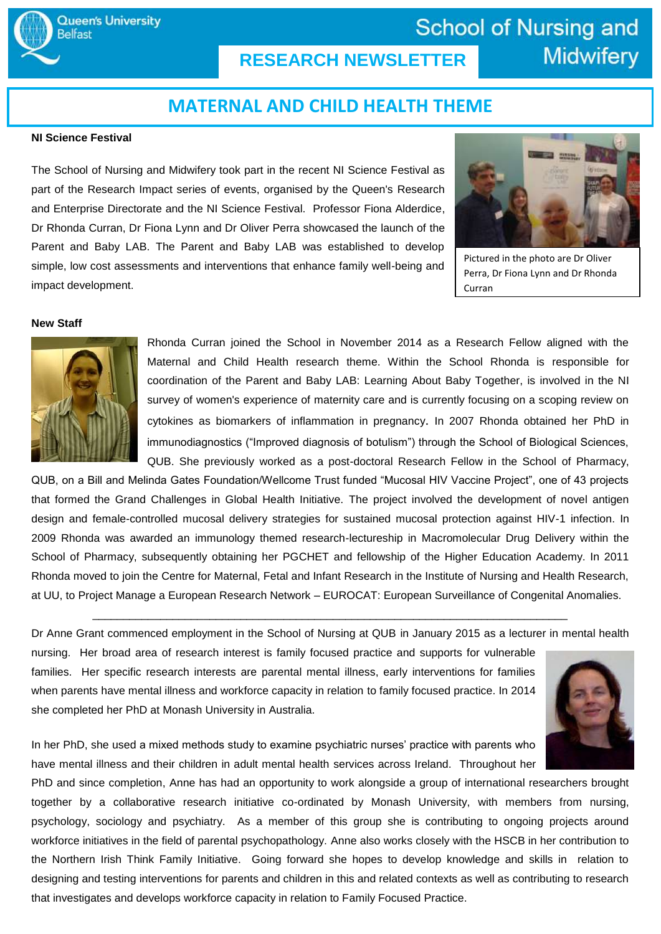

# **RESEARCH NEWSLETTER**

# **School of Nursing and Midwifery**

### **MATERNAL AND CHILD HEALTH THEME**

#### **NI Science Festival**

The School of Nursing and Midwifery took part in the recent NI Science Festival as part of the Research Impact series of events, organised by the Queen's Research and Enterprise Directorate and the NI Science Festival. Professor Fiona Alderdice, Dr Rhonda Curran, Dr Fiona Lynn and Dr Oliver Perra showcased the launch of the Parent and Baby LAB. The Parent and Baby LAB was established to develop simple, low cost assessments and interventions that enhance family well-being and impact development.



Pictured in the photo are Dr Oliver Perra, Dr Fiona Lynn and Dr Rhonda Curran

#### **New Staff**



Rhonda Curran joined the School in November 2014 as a Research Fellow aligned with the Maternal and Child Health research theme. Within the School Rhonda is responsible for coordination of the Parent and Baby LAB: Learning About Baby Together, is involved in the NI survey of women's experience of maternity care and is currently focusing on a scoping review on cytokines as biomarkers of inflammation in pregnancy. In 2007 Rhonda obtained her PhD in immunodiagnostics ("Improved diagnosis of botulism") through the School of Biological Sciences, QUB. She previously worked as a post-doctoral Research Fellow in the School of Pharmacy,

QUB, on a Bill and Melinda Gates Foundation/Wellcome Trust funded "Mucosal HIV Vaccine Project", one of 43 projects that formed the Grand Challenges in Global Health Initiative. The project involved the development of novel antigen design and female-controlled mucosal delivery strategies for sustained mucosal protection against HIV-1 infection. In 2009 Rhonda was awarded an immunology themed research-lectureship in Macromolecular Drug Delivery within the School of Pharmacy, subsequently obtaining her PGCHET and fellowship of the Higher Education Academy. In 2011 Rhonda moved to join the Centre for Maternal, Fetal and Infant Research in the Institute of Nursing and Health Research, at UU, to Project Manage a European Research Network – EUROCAT: European Surveillance of Congenital Anomalies.

\_\_\_\_\_\_\_\_\_\_\_\_\_\_\_\_\_\_\_\_\_\_\_\_\_\_\_\_\_\_\_\_\_\_\_\_\_\_\_\_\_\_\_\_\_\_\_\_\_\_\_\_\_\_\_\_\_\_\_\_\_\_\_\_\_\_\_\_\_\_\_\_\_\_\_\_\_ Dr Anne Grant commenced employment in the School of Nursing at QUB in January 2015 as a lecturer in mental health

nursing. Her broad area of research interest is family focused practice and supports for vulnerable families. Her specific research interests are parental mental illness, early interventions for families when parents have mental illness and workforce capacity in relation to family focused practice. In 2014 she completed her PhD at Monash University in Australia.



In her PhD, she used a mixed methods study to examine psychiatric nurses' practice with parents who have mental illness and their children in adult mental health services across Ireland. Throughout her

PhD and since completion, Anne has had an opportunity to work alongside a group of international researchers brought together by a collaborative research initiative co-ordinated by Monash University, with members from nursing, psychology, sociology and psychiatry. As a member of this group she is contributing to ongoing projects around workforce initiatives in the field of parental psychopathology. Anne also works closely with the HSCB in her contribution to the Northern Irish Think Family Initiative. Going forward she hopes to develop knowledge and skills in relation to designing and testing interventions for parents and children in this and related contexts as well as contributing to research that investigates and develops workforce capacity in relation to Family Focused Practice.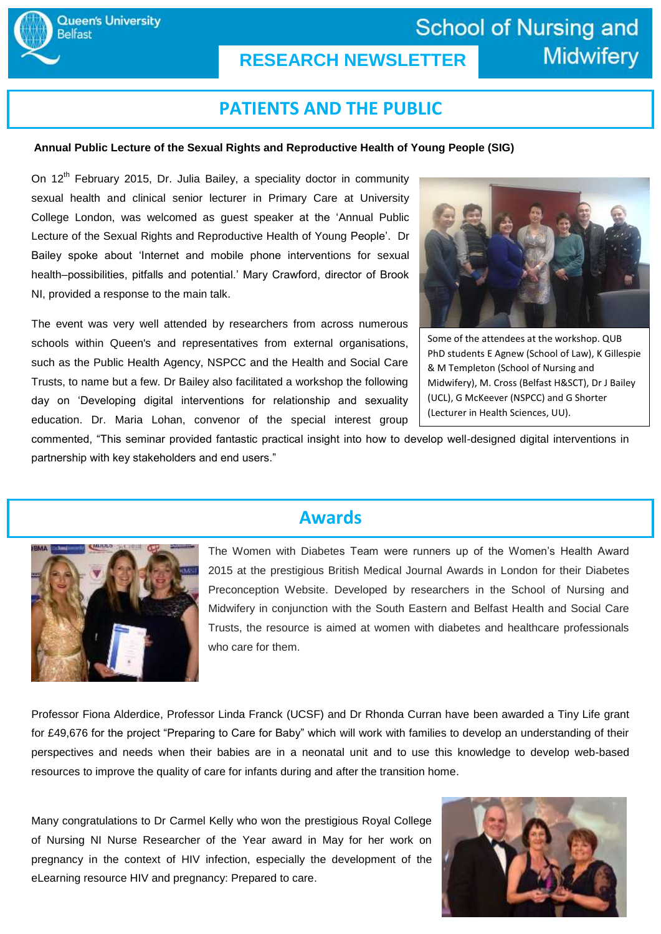# **RESEARCH NEWSLETTER**

**School of Nursing and Midwifery** 

### **PATIENTS AND THE PUBLIC**

#### **Annual Public Lecture of the Sexual Rights and Reproductive Health of Young People (SIG)**

On 12<sup>th</sup> February 2015, Dr. Julia Bailey, a speciality doctor in community sexual health and clinical senior lecturer in Primary Care at University College London, was welcomed as guest speaker at the 'Annual Public Lecture of the Sexual Rights and Reproductive Health of Young People'. Dr Bailey spoke about 'Internet and mobile phone interventions for sexual health–possibilities, pitfalls and potential.' Mary Crawford, director of Brook NI, provided a response to the main talk.

The event was very well attended by researchers from across numerous schools within Queen's and representatives from external organisations, such as the Public Health Agency, NSPCC and the Health and Social Care Trusts, to name but a few. Dr Bailey also facilitated a workshop the following day on 'Developing digital interventions for relationship and sexuality education. Dr. Maria Lohan, convenor of the special interest group



Some of the attendees at the workshop. QUB PhD students E Agnew (School of Law), K Gillespie & M Templeton (School of Nursing and Midwifery), M. Cross (Belfast H&SCT), Dr J Bailey (UCL), G McKeever (NSPCC) and G Shorter (Lecturer in Health Sciences, UU).

commented, "This seminar provided fantastic practical insight into how to develop well-designed digital interventions in partnership with key stakeholders and end users."



### **Awards**

The Women with Diabetes Team were runners up of the Women's Health Award 2015 at the prestigious British Medical Journal Awards in London for their Diabetes Preconception Website. Developed by researchers in the School of Nursing and Midwifery in conjunction with the South Eastern and Belfast Health and Social Care Trusts, the resource is aimed at women with diabetes and healthcare professionals who care for them.

Professor Fiona Alderdice, Professor Linda Franck (UCSF) and Dr Rhonda Curran have been awarded a Tiny Life grant for £49,676 for the project "Preparing to Care for Baby" which will work with families to develop an understanding of their perspectives and needs when their babies are in a neonatal unit and to use this knowledge to develop web-based resources to improve the quality of care for infants during and after the transition home.

Many congratulations to Dr Carmel Kelly who won the prestigious Royal College of Nursing NI Nurse Researcher of the Year award in May for her work on pregnancy in the context of HIV infection, especially the development of the eLearning resource HIV and pregnancy: Prepared to care.